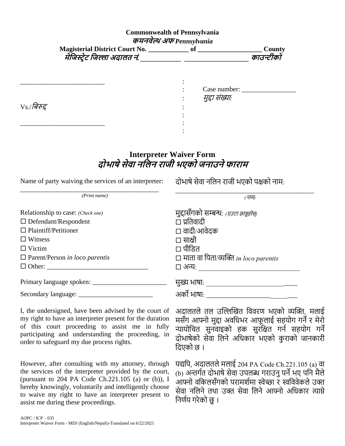## **Commonwealth of Pennsylvania कमनवेल्थ अफ** *Pennsylvania*

| <b>Magisterial District Court No.</b> | <b>County</b> |
|---------------------------------------|---------------|
| मेंजिस्ट्रेट जिल्ला अदालत नं.         | काउन्टीको     |

|                | Case number:<br>मुद्दा संख्याः |
|----------------|--------------------------------|
| $V_S$ /बिरुद्द |                                |
|                |                                |

## **Interpreter Waiver Form दोभाषेसेवा नजलन रािी भएको िनाउनेफाराम**

| Name of party waiving the services of an interpreter: |  |  |
|-------------------------------------------------------|--|--|
|                                                       |  |  |

दोभाषे सेवा नलिन राजी भएको पक्षको नाम:

| (Print name)                          | (नाम)                                        |
|---------------------------------------|----------------------------------------------|
| Relationship to case: (Check one)     | मद्दासँगको सम्बन्धः <i>(एउटा छान्नुहोस्)</i> |
| $\Box$ Defendant/Respondent           | □ प्रतिवादी                                  |
| $\Box$ Plaintiff/Petitioner           | □ वादी/आवेदक                                 |
| $\Box$ Witness                        | □ साक्षी                                     |
| $\Box$ Victim                         | □ पीडित                                      |
| $\Box$ Parent/Person in loco parentis | $\Box$ माता वा पिता/व्यक्ति in loco parentis |
|                                       | □ अन्यः                                      |
|                                       | मुख्य भाषा:                                  |
| Secondary language: ______________    | अर्को भाषा:                                  |

I, the undersigned, have been advised by the court of my right to have an interpreter present for the duration of this court proceeding to assist me in fully participating and understanding the proceeding, in order to safeguard my due process rights.

However, after consulting with my attorney, through the services of the interpreter provided by the court, (pursuant to 204 PA Code Ch.221.105 (a) or (b)), I hereby knowingly, voluntarily and intelligently choose to waive my right to have an interpreter present to assist me during these proceedings.

अदालतले तल उल्लिखित विवरण भएको व्यक्ति, मलाई मसँग आफ्नो मुद्दा अवधिभर आफूलाई सहयोग गर्ने र मेरो न्यायोचित सुनवाइको हक सुरक्षित गर्न सहयोग गर्ने दोभाषेको सेवा लिने अधिकार भएको कराको जानकारी बदएको छ ।

यद्यपि, अदालतले मलाई 204 PA Code Ch.221.105 (a) वा (b) अन्तर्गत दोभाषे सेवा उपलब्ध गराउनु पर्ने भए पनि मैले आफ्नो वकिलसँगको परामर्शमा स्वेच्छा र स्वविवेकले उक्त सेवा नलिने तथा उक्त सेवा लिने आफ्नो अधिकार त्याग्ने निर्णय गरेको छ ।